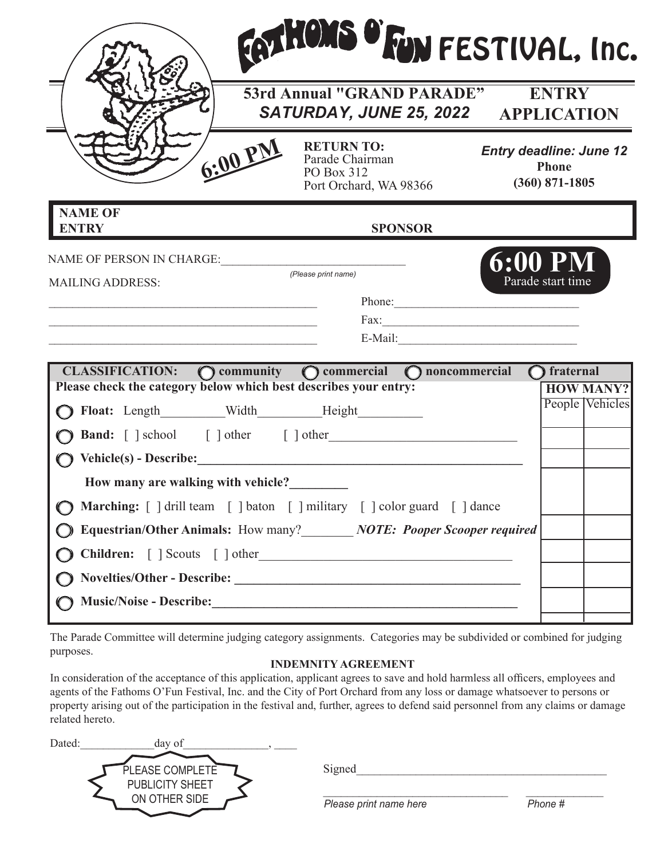|                                                                                                                                                                              | <b>53rd Annual "GRAND PARADE"</b><br>SATURDAY, JUNE 25, 2022 APPLICATION                                                                                                                  | <b>ENTRY</b>                                                       |
|------------------------------------------------------------------------------------------------------------------------------------------------------------------------------|-------------------------------------------------------------------------------------------------------------------------------------------------------------------------------------------|--------------------------------------------------------------------|
| 6:00 PM                                                                                                                                                                      | <b>RETURN TO:</b><br>Parade Chairman<br>PO Box 312<br>Port Orchard, WA 98366                                                                                                              | <b>Entry deadline: June 12</b><br><b>Phone</b><br>$(360)$ 871-1805 |
| <b>NAME OF</b><br><b>ENTRY</b>                                                                                                                                               | <b>SPONSOR</b>                                                                                                                                                                            |                                                                    |
| NAME OF PERSON IN CHARGE:<br><b>MAILING ADDRESS:</b><br><u> 1980 - Jan James James Barnett, martin de la provincia de la provincia de la provincia de la provincia de la</u> | (Please print name)                                                                                                                                                                       | <b>6:00 PM</b><br>Parade start time<br>Phone:                      |
|                                                                                                                                                                              |                                                                                                                                                                                           |                                                                    |
|                                                                                                                                                                              | CLASSIFICATION: O community O commercial O noncommercial                                                                                                                                  | $\bigcap$ fraternal<br><b>HOW MANY?</b>                            |
|                                                                                                                                                                              | <b>Band:</b> [ ] school [ ] other [ ] other                                                                                                                                               |                                                                    |
| How many are walking with vehicle?                                                                                                                                           |                                                                                                                                                                                           |                                                                    |
| Please check the category below which best describes your entry:                                                                                                             | ◯ Marching: [ ] drill team [ ] baton [ ] military [ ] color guard [ ] dance<br>Equestrian/Other Animals: How many?_______ NOTE: Pooper Scooper required<br>Children: [ ] Scouts [ ] other | People Vehicles                                                    |

The Parade Committee will determine judging category assignments. Categories may be subdivided or combined for judging purposes.

## **INDEMNITY AGREEMENT**

In consideration of the acceptance of this application, applicant agrees to save and hold harmless all officers, employees and agents of the Fathoms O'Fun Festival, Inc. and the City of Port Orchard from any loss or damage whatsoever to persons or property arising out of the participation in the festival and, further, agrees to defend said personnel from any claims or damage related hereto.

| Dated:<br>day of                 |                        |         |
|----------------------------------|------------------------|---------|
| PLEASE COMPLETE                  | Signed                 |         |
| PUBLICITY SHEET<br>ON OTHER SIDE | Please print name here | Phone # |